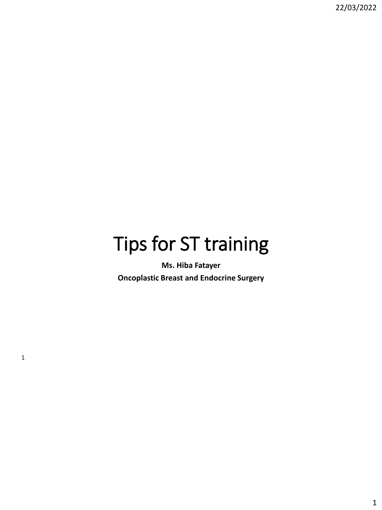# Tips for ST training

**Ms. Hiba Fatayer Oncoplastic Breast and Endocrine Surgery**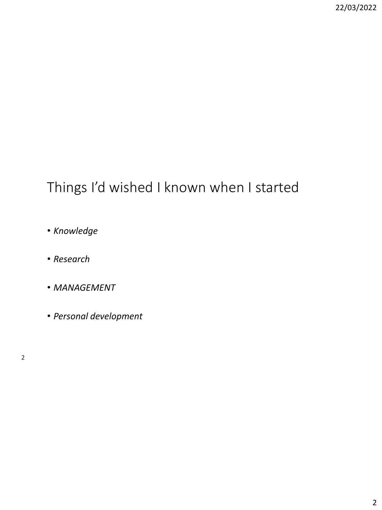#### Things I'd wished I known when I started

- *Knowledge*
- *Research*
- *MANAGEMENT*
- *Personal development*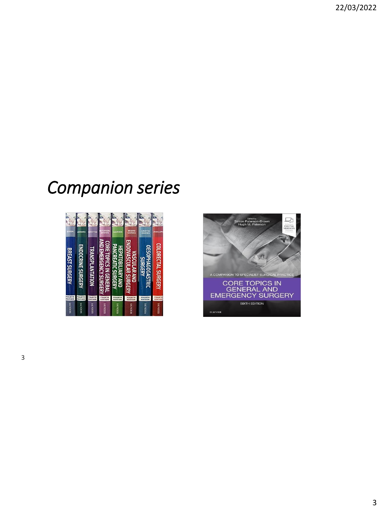# *Companion series*



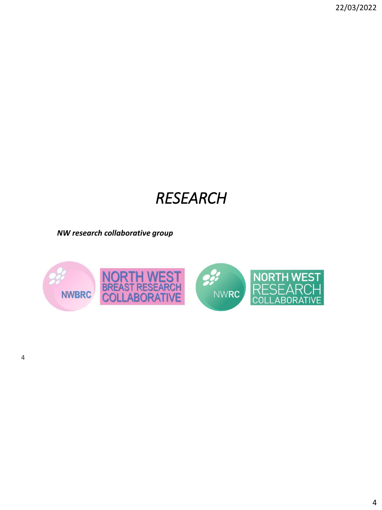## *RESEARCH*

*NW research collaborative group*

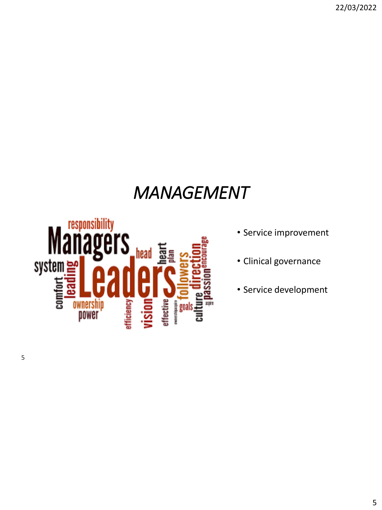## *MANAGEMENT*



- Service improvement
- Clinical governance
- Service development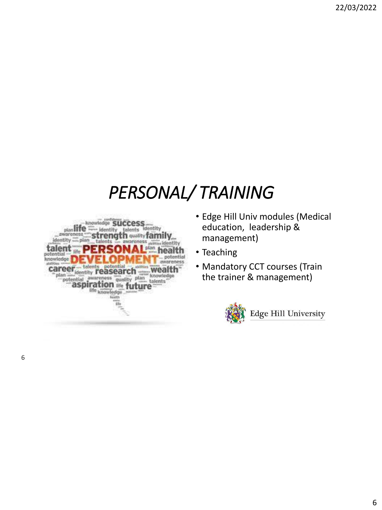# *PERSONAL/ TRAINING*



- Edge Hill Univ modules (Medical education, leadership & management)
- Teaching
- Mandatory CCT courses (Train the trainer & management)

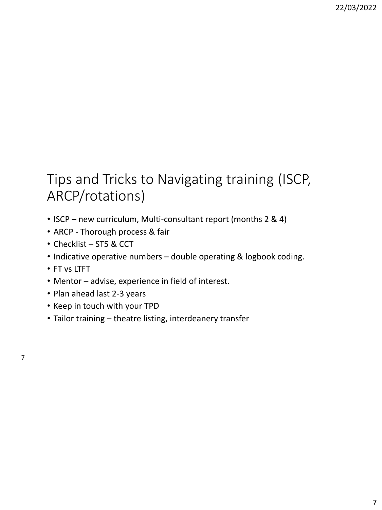## Tips and Tricks to Navigating training (ISCP, ARCP/rotations)

- ISCP new curriculum, Multi-consultant report (months 2 & 4)
- ARCP Thorough process & fair
- Checklist ST5 & CCT
- Indicative operative numbers double operating & logbook coding.
- FT vs LTFT
- Mentor advise, experience in field of interest.
- Plan ahead last 2-3 years
- Keep in touch with your TPD
- Tailor training theatre listing, interdeanery transfer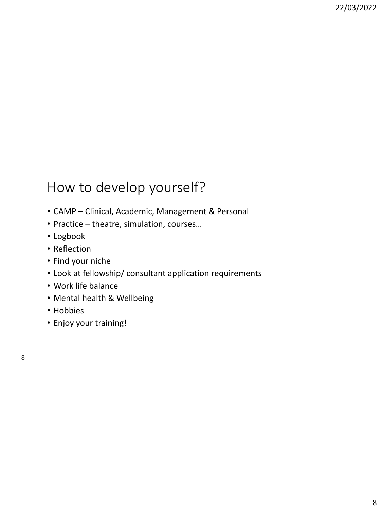#### How to develop yourself?

- CAMP Clinical, Academic, Management & Personal
- Practice theatre, simulation, courses…
- Logbook
- Reflection
- Find your niche
- Look at fellowship/ consultant application requirements
- Work life balance
- Mental health & Wellbeing
- Hobbies
- Enjoy your training!